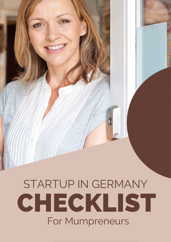# STARTUP IN GERMANY CHECKLIST For Mumpreneurs STARTUP IN GERMANY CHECKLIST

STARTUP IN GERMANY CHECKLIST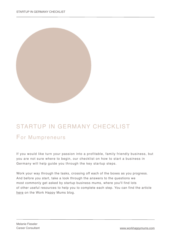

## STARTUP IN GERMANY CHECKLIST

#### For Mumpreneurs

If you would like turn your passion into a profitable, family friendly business, but you are not sure where to begin, our checklist on how to start a business in Germany will help guide you through the key startup steps.

Work your way through the tasks, crossing off each of the boxes as you progress. And before you start, take a look through the answers to the questions we most commonly get asked by startup business mums, where you'll find lots of other useful resources to help you to complete each step. You can find the article [here](http://www.workhappymums.com/blog/starting-a-business-in-germany-12-questions-most-commonly-asked-by-startup-business-mums) on the Work Happy Mums blog.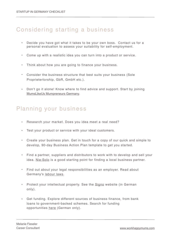### Considering starting a business

- Decide you have got what it takes to be your own boss. Contact us for a personal evaluation to assess your suitability for self-employment.
- Come up with a realistic idea you can turn into a product or service.
- Think about how you are going to finance your business.
- Consider the business structure that best suits your business (Sole Proprietertorship, GbR, GmbH etc.).
- Don't go it alone! Know where to find advice and support. Start by joining [MumsLikeUs Mumpreneurs Germany](https://www.facebook.com/groups/mumpreneursgermany/).

#### Planning your business

- Research your market. Does you idea meet a real need?
- Test your product or service with your ideal customers.
- Create your business plan. Get in touch for a copy of our quick and simple to develop, 90-day Business Action Plan template to get you started.
- Find a partner, suppliers and distributors to work with to develop and sell your idea. Nie: Solo is a good starting point for finding a local business partner.
- Find out about your legal responsibilities as an employer. Read about Germany's [labour laws](https://www.stuttgart.ihk24.de/english/fairplay/Labour_Law_channel/3373940).
- Protect your intellectual property. See the [Signo](http://www.signo-deutschland.de/) website (in German only).
- Get funding. Explore different sources of business finance, from bank loans to government-backed schemes. Search for funding opportunities [here](http://www.foerderdatenbank.de/) (German only).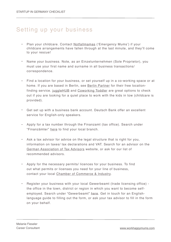#### Setting up your business

- Plan your childcare. Contact [Notfallmamas](http://www.notfallmamas.de/) ('Emergency Mums') if your childcare arrangements have fallen through at the last minute, and they'll come to your rescue!
- Name your business. Note, as an Einzelunternehmen (Sole Proprietor), you must use your first name and surname in all business transactions/ correspondence.
- Find a location for your business, or set yourself up in a co-working space or at home. If you are based in Berlin, see [Berlin Partner](http://www.notfallmamas.de/) for their free locationfinding service. [juggleHUB](http://jugglehub.de/) and [Coworking Toddler](http://www.coworkingtoddler.com/) are great options to check out if you are looking for a quiet place to work with the kids in tow (childcare is provided).
- Get set up with a business bank account. Deutsch Bank offer an excellent service for English-only speakers.
- Apply for a tax number through the Finanzamt (tax office). Search under "Finanzämter" [here](http://www.bmwi-wegweiser.de/suche/behoerden/) to find your local branch.
- Ask a tax advisor for advice on the legal structure that is right for you, information on taxes/ tax declarations and VAT. Search for an advisor on the [German Association of Tax Advisors](http://www.dstv.de/en/dstv-en) website, or ask for our list of recommended advisors.
- Apply for the necessary permits/ licences for your business. To find out what permits or licenses you need for your line of business, contact your local [Chamber of Commerce & Industry](http://www.dihk.de/en).
- Register your business with your local Gewerbeamt (trade licensing office) the office in the town, district or region in which you want to become selfemployed. Search under "Gewerbeamt" [here](http://www.bmwi-wegweiser.de/suche/behoerden/). Get in touch for an Englishlanguage guide to filling out the form, or ask your tax advisor to fill in the form on your behalf.